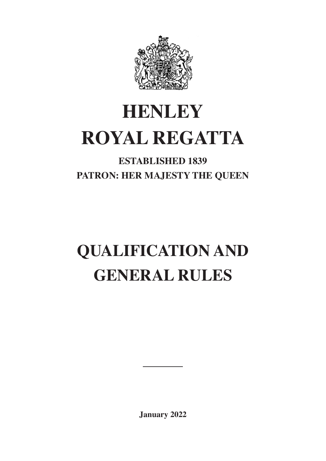

# **HENLEY ROYAL REGATTA**

# **ESTABLISHED 1839 PATRON: HER MAJESTY THE QUEEN**

# **QUALIFICATION AND GENERAL RULES**

**January 2022**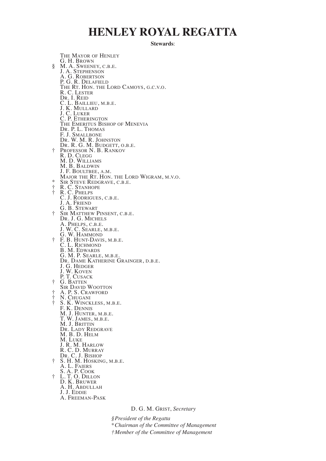# **HENLEY ROYAL REGATTA**

**Stewards**:

THE MAYOR OF HENLEY G. H. BROWN<br>
§ M. A. SWEENEY, C.B.E. **J. A. STEPHENSON** A. G. ROBERTSON<br>P. G. R. DELAFIELD<br>The Rt. Hon. the Lord Camoys, g.c.v.o.<br>R. C. Lester R. C. LESTER<br>DR. I. REID<br>C. L. BAILLIEU, M.B.E. C. L. BAILLIEU, M.B.E.<br>J. K. MULLARD<br>J. C. LUKER<br>C. P. Ethering<u>t</u>on THE EMERITUS BISHOP OF MENEVIA DR. P. L. THOMAS F. J. SMALLBONE DR. W. M. R. JOHNSTON DR. R. G. M. BUDGETT, O.B.E. † PROFESSOR N. B. RANKOV R. D. CLEGG M. D. WILLIAMS M. B. BALDWIN J. F. BOULTBEE, A.M.<br>MAJOR THE RT. HON. THE LORD WIGRAM, M.V.O.<br>\* SIR STEVE REDGRAVE, C.B.E. † R. C. PHELPS C. J. RODRIGUES, C.B.E. J. A. FRIEND **J. A. FRIEND<br>G. B. STEWART<br>† SIR MATTHEW PINSENT, C.B.F.** † SIR MATTHEW PINSENT, C.B.E. DR. J. G. MICHELS A. Phelps, c.b.e.<br>J. W. C. Searle, m.b.e.<br>G. W. Hammond † F. B. HUNT-DAVIS, M.B.E. C. L. RICHMOND B. M. Edwards<br>G. M. P. Searle, m.b.e.<br>Dr. Dame Katherine Grainger, d.b.e.<br>J. G. Hedger J. G. HEDGER<br>J. W. KOVEN P. T. CUSACK † G. BATTEN SIR DAVID WOOTTON † A. P. S. CRAWFORD † N. CHUGANI † S. K. WINCKLESS, M.B.E. F. K. DENNIS M. J. HUNTER, M.B.E.<br>T. W. James, m.b.e.<br>M. J. Brittin DR. LADY REDGRAVE M. B. D. HELM M. LUKE J. R. M. HARLOW R. C. D. MURRAY DR. C. J. BISHOP † S. H. M. HOSKING, M.B.E. A. L. FAIERS S. A. P. COOK † L. T. O. DILLON D. K. BRUWER A. H. ABDULLAH J. J. EDDIE A. FREEMAN-PASK

D. G. M. GRIST, *Secretary*

*§President of the Regatta*

\**Chairman of the Committee of Management*

*†Member of the Committee of Management*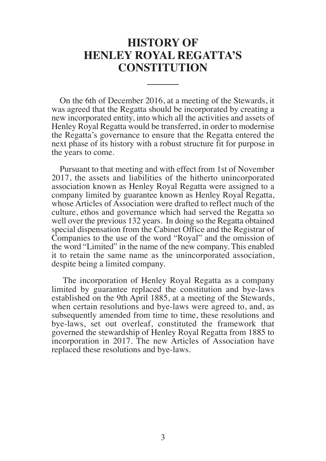# **HISTORY OF HENLEY ROYAL REGATTA'S CONSTITUTION**

On the 6th of December 2016, at a meeting of the Stewards, it was agreed that the Regatta should be incorporated by creating a new incorporated entity, into which all the activities and assets of Henley Royal Regatta would be transferred, in order to modernise the Regatta's governance to ensure that the Regatta entered the next phase of its history with a robust structure fit for purpose in the years to come.

Pursuant to that meeting and with effect from 1st of November 2017, the assets and liabilities of the hitherto unincorporated association known as Henley Royal Regatta were assigned to a company limited by guarantee known as Henley Royal Regatta, whose Articles of Association were drafted to reflect much of the culture, ethos and governance which had served the Regatta so well over the previous 132 years. In doing so the Regatta obtained special dispensation from the Cabinet Office and the Registrar of Companies to the use of the word "Royal" and the omission of the word "Limited" in the name of the new company. This enabled it to retain the same name as the unincorporated association, despite being a limited company.

 The incorporation of Henley Royal Regatta as a company limited by guarantee replaced the constitution and bye-laws established on the 9th April 1885, at a meeting of the Stewards, when certain resolutions and bye-laws were agreed to, and, as subsequently amended from time to time, these resolutions and bye-laws, set out overleaf, constituted the framework that governed the stewardship of Henley Royal Regatta from 1885 to incorporation in 2017. The new Articles of Association have replaced these resolutions and bye-laws.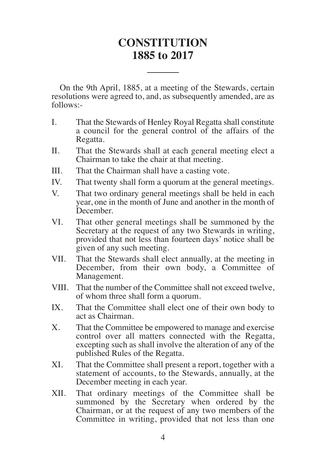# **CONSTITUTION 1885 to 2017**

On the 9th April, 1885, at a meeting of the Stewards, certain resolutions were agreed to, and, as subsequently amended, are as follows:-

- I. That the Stewards of Henley Royal Regatta shall constitute a council for the general control of the affairs of the Regatta.
- II. That the Stewards shall at each general meeting elect a Chairman to take the chair at that meeting.
- III. That the Chairman shall have a casting vote.
- IV. That twenty shall form a quorum at the general meetings.
- V. That two ordinary general meetings shall be held in each year, one in the month of June and another in the month of December.
- VI. That other general meetings shall be summoned by the Secretary at the request of any two Stewards in writing, provided that not less than fourteen days' notice shall be given of any such meeting.
- VII. That the Stewards shall elect annually, at the meeting in December, from their own body, a Committee of Management.
- VIII. That the number of the Committee shall not exceed twelve, of whom three shall form a quorum.
- IX. That the Committee shall elect one of their own body to act as Chairman.
- X. That the Committee be empowered to manage and exercise control over all matters connected with the Regatta, excepting such as shall involve the alteration of any of the published Rules of the Regatta.
- XI. That the Committee shall present a report, together with a statement of accounts, to the Stewards, annually, at the December meeting in each year.
- XII. That ordinary meetings of the Committee shall be summoned by the Secretary when ordered by the Chairman, or at the request of any two members of the Committee in writing, provided that not less than one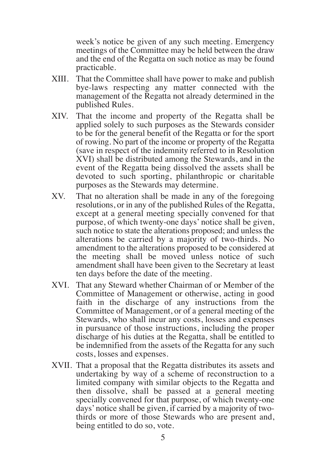week's notice be given of any such meeting. Emergency meetings of the Committee may be held between the draw and the end of the Regatta on such notice as may be found practicable.

- XIII. That the Committee shall have power to make and publish bye-laws respecting any matter connected with the management of the Regatta not already determined in the published Rules.
- XIV. That the income and property of the Regatta shall be applied solely to such purposes as the Stewards consider to be for the general benefit of the Regatta or for the sport of rowing. No part of the income or property of the Regatta (save in respect of the indemnity referred to in Resolution XVI) shall be distributed among the Stewards, and in the event of the Regatta being dissolved the assets shall be devoted to such sporting, philanthropic or charitable purposes as the Stewards may determine.
- XV. That no alteration shall be made in any of the foregoing resolutions, or in any of the published Rules of the Regatta, except at a general meeting specially convened for that purpose, of which twenty-one days' notice shall be given, such notice to state the alterations proposed; and unless the alterations be carried by a majority of two-thirds. No amendment to the alterations proposed to be considered at the meeting shall be moved unless notice of such amendment shall have been given to the Secretary at least ten days before the date of the meeting.
- XVI. That any Steward whether Chairman of or Member of the Committee of Management or otherwise, acting in good faith in the discharge of any instructions from the Committee of Management, or of a general meeting of the Stewards, who shall incur any costs, losses and expenses in pursuance of those instructions, including the proper discharge of his duties at the Regatta, shall be entitled to be indemnified from the assets of the Regatta for any such costs, losses and expenses.
- XVII. That a proposal that the Regatta distributes its assets and undertaking by way of a scheme of reconstruction to a limited company with similar objects to the Regatta and then dissolve, shall be passed at a general meeting specially convened for that purpose, of which twenty-one days' notice shall be given, if carried by a majority of twothirds or more of those Stewards who are present and, being entitled to do so, vote.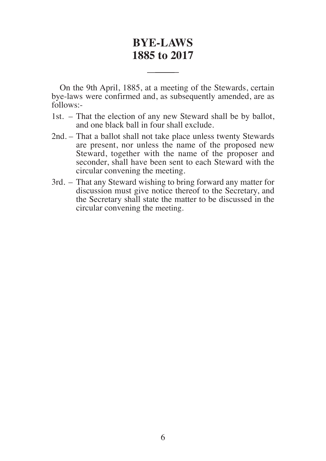# **BYE-LAWS 1885 to 2017**

On the 9th April, 1885, at a meeting of the Stewards, certain bye-laws were confirmed and, as subsequently amended, are as follows:-

- 1st. That the election of any new Steward shall be by ballot, and one black ball in four shall exclude.
- 2nd. That a ballot shall not take place unless twenty Stewards are present, nor unless the name of the proposed new Steward, together with the name of the proposer and seconder, shall have been sent to each Steward with the circular convening the meeting.
- 3rd. That any Steward wishing to bring forward any matter for discussion must give notice thereof to the Secretary, and the Secretary shall state the matter to be discussed in the circular convening the meeting.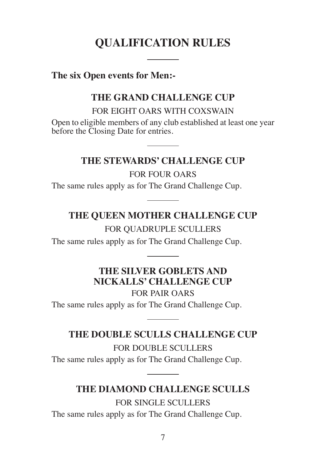# **QUALIFICATION RULES**

## **The six Open events for Men:-**

# **THE GRAND CHALLENGE CUP**

FOR EIGHT OARS WITH COXSWAIN

Open to eligible members of any club established at least one year before the Closing Date for entries.

## **THE STEWARDS' CHALLENGE CUP**

FOR FOUR OARS The same rules apply as for The Grand Challenge Cup.

# **THE QUEEN MOTHER CHALLENGE CUP**

FOR QUADRUPLE SCULLERS

The same rules apply as for The Grand Challenge Cup.

# **THE SILVER GOBLETS AND NICKALLS' CHALLENGE CUP**

FOR PAIR OARS The same rules apply as for The Grand Challenge Cup.

# **THE DOUBLE SCULLS CHALLENGE CUP**

FOR DOUBLE SCULLERS The same rules apply as for The Grand Challenge Cup.

# **THE DIAMOND CHALLENGE SCULLS**

FOR SINGLE SCULLERS The same rules apply as for The Grand Challenge Cup.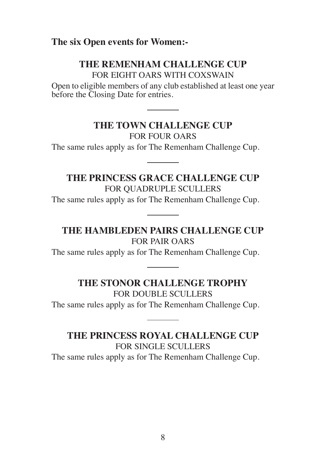## **The six Open events for Women:-**

## **THE REMENHAM CHALLENGE CUP**

FOR EIGHT OARS WITH COXSWAIN

Open to eligible members of any club established at least one year before the Closing Date for entries.

# **THE TOWN CHALLENGE CUP**

FOR FOUR OARS The same rules apply as for The Remenham Challenge Cup.

**THE PRINCESS GRACE CHALLENGE CUP** FOR QUADRUPLE SCULLERS The same rules apply as for The Remenham Challenge Cup.

## **THE HAMBLEDEN PAIRS CHALLENGE CUP**

FOR PAIR OARS The same rules apply as for The Remenham Challenge Cup.

## **THE STONOR CHALLENGE TROPHY**

FOR DOUBLE SCULLERS The same rules apply as for The Remenham Challenge Cup.

**THE PRINCESS ROYAL CHALLENGE CUP** FOR SINGLE SCULLERS The same rules apply as for The Remenham Challenge Cup.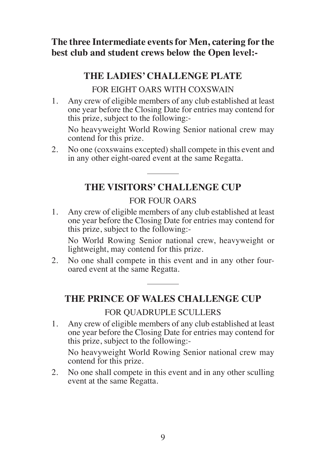**The three Intermediate events for Men, catering for the best club and student crews below the Open level:-**

# **THE LADIES' CHALLENGE PLATE**

FOR EIGHT OARS WITH COXSWAIN

1. Any crew of eligible members of any club established at least one year before the Closing Date for entries may contend for this prize, subject to the following:-

No heavyweight World Rowing Senior national crew may contend for this prize.

2. No one (coxswains excepted) shall compete in this event and in any other eight-oared event at the same Regatta.

# **THE VISITORS' CHALLENGE CUP**

## FOR FOUR OARS

1. Any crew of eligible members of any club established at least one year before the Closing Date for entries may contend for this prize, subject to the following:-

No World Rowing Senior national crew, heavyweight or lightweight, may contend for this prize.

2. No one shall compete in this event and in any other fouroared event at the same Regatta.

# **THE PRINCE OF WALES CHALLENGE CUP**

## FOR QUADRUPLE SCULLERS

1. Any crew of eligible members of any club established at least one year before the Closing Date for entries may contend for this prize, subject to the following:-

No heavyweight World Rowing Senior national crew may contend for this prize.

2. No one shall compete in this event and in any other sculling event at the same Regatta.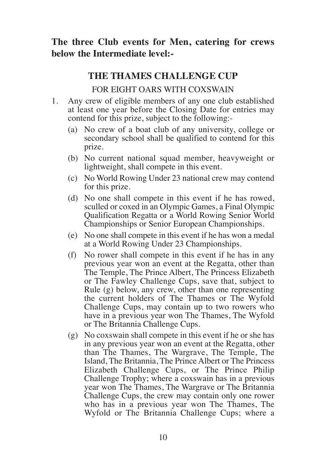# **The three Club events for Men, catering for crews below the Intermediate level:-**

## **THE THAMES CHALLENGE CUP**

## FOR EIGHT OARS WITH COXSWAIN

- 1. Any crew of eligible members of any one club established at least one year before the Closing Date for entries may contend for this prize, subject to the following:-
	- (a) No crew of a boat club of any university, college or secondary school shall be qualified to contend for this prize.
	- (b) No current national squad member, heavyweight or lightweight, shall compete in this event.
	- (c) No World Rowing Under 23 national crew may contend for this prize.
	- (d) No one shall compete in this event if he has rowed, sculled or coxed in an Olympic Games, a Final Olympic Qualification Regatta or a World Rowing Senior World Champion ships or Senior European Champion ships.
	- (e) No one shall compete in this event if he has won a medal at a World Rowing Under 23 Championships.
	- (f) No rower shall compete in this event if he has in any previous year won an event at the Regatta, other than The Temple, The Prince Albert, The Princess Elizabeth or The Fawley Challenge Cups, save that, subject to Rule (g) below, any crew, other than one representing the current holders of The Thames or The Wyfold Challenge Cups, may contain up to two rowers who have in a previous year won The Thames, The Wyfold or The Britannia Challenge Cups.
	- (g) No coxswain shall compete in this event if he or she has in any previous year won an event at the Regatta, other than The Thames, The Wargrave, The Temple, The Island, The Britannia, The Prince Albert or The Princess Elizabeth Challenge Cups, or The Prince Philip Challenge Trophy; where a coxswain has in a previous year won The Thames, The Wargrave or The Britannia Challenge Cups, the crew may contain only one rower who has in a previous year won The Thames, The Wyfold or The Britannia Challenge Cups; where a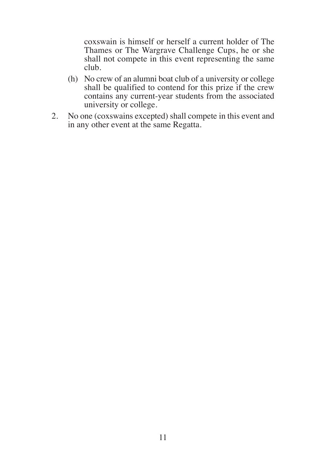coxswain is himself or herself a current holder of The Thames or The Wargrave Challenge Cups, he or she shall not compete in this event representing the same club.

- (h) No crew of an alumni boat club of a university or college shall be qualified to contend for this prize if the crew contains any current -year students from the associated university or college.
- 2. No one (coxswains excepted) shall compete in this event and in any other event at the same Regatta.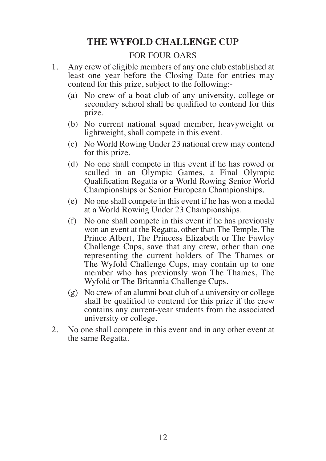# **THE WYFOLD CHALLENGE CUP**

#### FOR FOUR OARS

- 1. Any crew of eligible members of any one club established at least one year before the Closing Date for entries may contend for this prize, subject to the following:-
	- (a) No crew of a boat club of any university, college or secondary school shall be qualified to contend for this prize.
	- (b) No current national squad member, heavyweight or lightweight, shall compete in this event.
	- (c) No World Rowing Under 23 national crew may contend for this prize.
	- (d) No one shall compete in this event if he has rowed or sculled in an Olympic Games, a Final Olympic Qualification Regatta or a World Rowing Senior World Champion ships or Senior European Champion ships.
	- (e) No one shall compete in this event if he has won a medal at a World Rowing Under 23 Championships.
	- (f) No one shall compete in this event if he has previously won an event at the Regatta, other than The Temple, The Prince Albert, The Princess Elizabeth or The Fawley Challenge Cups, save that any crew, other than one representing the current holders of The Thames or The Wyfold Challenge Cups, may contain up to one member who has previously won The Thames, The Wyfold or The Britannia Challenge Cups.
	- (g) No crew of an alumni boat club of a university or college shall be qualified to contend for this prize if the crew contains any current-year students from the associated university or college.
- 2. No one shall compete in this event and in any other event at the same Regatta.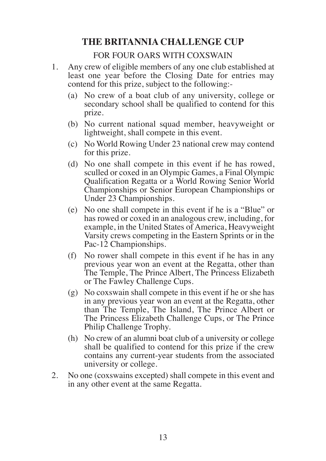# **THE BRITANNIA CHALLENGE CUP**

#### FOR FOUR OARS WITH COXSWAIN

- 1. Any crew of eligible members of any one club established at least one year before the Closing Date for entries may contend for this prize, subject to the following:-
	- (a) No crew of a boat club of any university, college or secondary school shall be qualified to contend for this prize.
	- (b) No current national squad member, heavyweight or lightweight, shall compete in this event.
	- (c) No World Rowing Under 23 national crew may contend for this prize.
	- (d) No one shall compete in this event if he has rowed, sculled or coxed in an Olympic Games, a Final Olympic Qualification Regatta or a World Rowing Senior World Champion ships or Senior European Championships or Under 23 Championships.
	- (e) No one shall compete in this event if he is a "Blue" or has rowed or coxed in an analogous crew, including, for example, in the United States of America, Heavyweight Varsity crews competing in the Eastern Sprints or in the Pac-12 Championships.
	- (f) No rower shall compete in this event if he has in any previous year won an event at the Regatta, other than The Temple, The Prince Albert, The Princess Elizabeth or The Fawley Challenge Cups.
	- (g) No coxswain shall compete in this event if he or she has in any previous year won an event at the Regatta, other than The Temple, The Island, The Prince Albert or The Princess Elizabeth Challenge Cups, or The Prince Philip Challenge Trophy.
	- (h) No crew of an alumni boat club of a university or college shall be qualified to contend for this prize if the crew contains any current-year students from the associated university or college.
- 2. No one (coxswains excepted) shall compete in this event and in any other event at the same Regatta.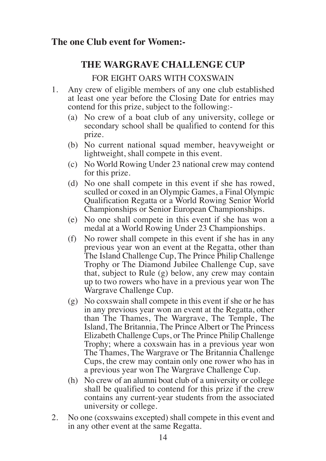## **The one Club event for Women:-**

# **THE WARGRAVE CHALLENGE CUP**

## FOR EIGHT OARS WITH COXSWAIN

- 1. Any crew of eligible members of any one club established at least one year before the Closing Date for entries may contend for this prize, subject to the following:-
	- (a) No crew of a boat club of any university, college or secondary school shall be qualified to contend for this prize.
	- (b) No current national squad member, heavyweight or lightweight, shall compete in this event.
	- (c) No World Rowing Under 23 national crew may contend for this prize.
	- (d) No one shall compete in this event if she has rowed, sculled or coxed in an Olympic Games, a Final Olympic Qualification Regatta or a World Rowing Senior World Champion ships or Senior European Champion ships.
	- (e) No one shall compete in this event if she has won a medal at a World Rowing Under 23 Championships.
	- (f) No rower shall compete in this event if she has in any previous year won an event at the Regatta, other than The Island Challenge Cup, The Prince Philip Challenge Trophy or The Diamond Jubilee Challenge Cup, save that, subject to Rule (g) below, any crew may contain up to two rowers who have in a previous year won The Wargrave Challenge Cup.
	- (g) No coxswain shall compete in this event if she or he has in any previous year won an event at the Regatta, other than The Thames, The Wargrave, The Temple, The Island, The Britannia, The Prince Albert or The Princess Elizabeth Challenge Cups, or The Prince Philip Challenge Trophy; where a coxswain has in a previous year won The Thames, The Wargrave or The Britannia Challenge Cups, the crew may contain only one rower who has in a previous year won The Wargrave Challenge Cup.
	- (h) No crew of an alumni boat club of a university or college shall be qualified to contend for this prize if the crew contains any current-year students from the associated university or college.
- 2. No one (coxswains excepted) shall compete in this event and in any other event at the same Regatta.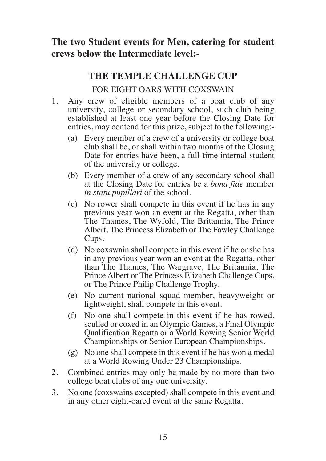# **The two Student events for Men, catering for student crews below the Intermediate level:-**

# **THE TEMPLE CHALLENGE CUP**

## FOR EIGHT OARS WITH COXSWAIN

- 1. Any crew of eligible members of a boat club of any university, college or secondary school, such club being established at least one year before the Closing Date for entries, may contend for this prize, subject to the following:-
	- (a) Every member of a crew of a university or college boat club shall be, or shall within two months of the Closing Date for entries have been, a full-time internal student of the university or college.
	- (b) Every member of a crew of any secondary school shall at the Closing Date for entries be a *bona fide* member *in statu pupillari* of the school.
	- (c) No rower shall compete in this event if he has in any previous year won an event at the Regatta, other than The Thames, The Wyfold, The Britannia, The Prince Albert, The Princess Elizabeth or The Fawley Challenge Cups.
	- (d) No coxswain shall compete in this event if he or she has in any previous year won an event at the Regatta, other than The Thames, The Wargrave, The Britannia, The Prince Albert or The Princess Elizabeth Challenge Cups, or The Prince Philip Challenge Trophy.
	- (e) No current national squad member, heavyweight or lightweight, shall compete in this event.
	- (f) No one shall compete in this event if he has rowed, sculled or coxed in an Olympic Games, a Final Olympic Qualification Regatta or a World Rowing Senior World Champion ships or Senior European Championships.
	- (g) No one shall compete in this event if he has won a medal at a World Rowing Under 23 Championships.
- 2. Combined entries may only be made by no more than two college boat clubs of any one university.
- 3. No one (coxswains excepted) shall compete in this event and in any other eight-oared event at the same Regatta.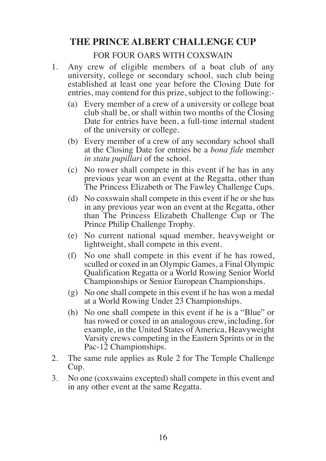# **THE PRINCE ALBERT CHALLENGE CUP**

#### FOR FOUR OARS WITH COXSWAIN

- 1. Any crew of eligible members of a boat club of any university, college or secondary school, such club being established at least one year before the Closing Date for entries, may contend for this prize, subject to the following:-
	- (a) Every member of a crew of a university or college boat club shall be, or shall within two months of the Closing Date for entries have been, a full-time internal student of the university or college.
	- (b) Every member of a crew of any secondary school shall at the Closing Date for entries be a *bona fide* member *in statu pupillari* of the school.
	- (c) No rower shall compete in this event if he has in any previous year won an event at the Regatta, other than The Princess Elizabeth or The Fawley Challenge Cups.
	- (d) No coxswain shall compete in this event if he or she has in any previous year won an event at the Regatta, other than The Princess Elizabeth Challenge Cup or The Prince Philip Challenge Trophy.
	- (e) No current national squad member, heavyweight or light weight, shall compete in this event.
	- (f) No one shall compete in this event if he has rowed, sculled or coxed in an Olympic Games, a Final Olympic Qualification Regatta or a World Rowing Senior World Champion ships or Senior European Championships.
	- (g) No one shall compete in this event if he has won a medal at a World Rowing Under 23 Championships.
	- (h) No one shall compete in this event if he is a "Blue" or has rowed or coxed in an analogous crew, including, for example, in the United States of America, Heavyweight Varsity crews competing in the Eastern Sprints or in the Pac-12 Champion ships.
- 2. The same rule applies as Rule 2 for The Temple Challenge Cup.
- 3. No one (coxswains excepted) shall compete in this event and in any other event at the same Regatta.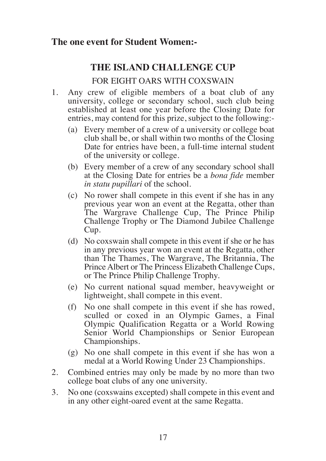## **The one event for Student Women:-**

# **THE ISLAND CHALLENGE CUP**

### FOR EIGHT OARS WITH COXSWAIN

- 1. Any crew of eligible members of a boat club of any university, college or secondary school, such club being established at least one year before the Closing Date for entries, may contend for this prize, subject to the following:-
	- (a) Every member of a crew of a university or college boat club shall be, or shall within two months of the Closing Date for entries have been, a full-time internal student of the university or college.
	- (b) Every member of a crew of any secondary school shall at the Closing Date for entries be a *bona fide* member *in statu pupillari* of the school.
	- (c) No rower shall compete in this event if she has in any previous year won an event at the Regatta, other than The Wargrave Challenge Cup, The Prince Philip Challenge Trophy or The Diamond Jubilee Challenge Cup.
	- (d) No coxswain shall compete in this event if she or he has in any previous year won an event at the Regatta, other than The Thames, The Wargrave, The Britannia, The Prince Albert or The Princess Elizabeth Challenge Cups, or The Prince Philip Challenge Trophy.
	- (e) No current national squad member, heavyweight or light weight, shall compete in this event.
	- (f) No one shall compete in this event if she has rowed, sculled or coxed in an Olympic Games, a Final Olympic Qualification Regatta or a World Rowing Senior World Championships or Senior European Championships.
	- (g) No one shall compete in this event if she has won a medal at a World Rowing Under 23 Championships.
- 2. Combined entries may only be made by no more than two college boat clubs of any one university.
- 3. No one (coxswains excepted) shall compete in this event and in any other eight-oared event at the same Regatta.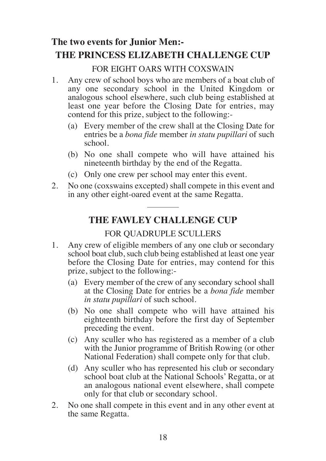# **The two events for Junior Men:- THE PRINCESS ELIZABETH CHALLENGE CUP**

## FOR EIGHT OARS WITH COXSWAIN

- 1. Any crew of school boys who are members of a boat club of any one secondary school in the United Kingdom or analogous school elsewhere, such club being established at least one year before the Closing Date for entries, may contend for this prize, subject to the following:-
	- (a) Every member of the crew shall at the Closing Date for entries be a *bona fide* member *in statu pupillari* of such school.
	- (b) No one shall compete who will have attained his nineteenth birthday by the end of the Regatta.
	- (c) Only one crew per school may enter this event.
- 2. No one (coxswains excepted) shall compete in this event and in any other eight-oared event at the same Regatta.

# **THE FAWLEY CHALLENGE CUP**

## FOR QUADRUPLE SCULLERS

- 1. Any crew of eligible members of any one club or secondary school boat club, such club being established at least one year before the Closing Date for entries, may contend for this prize, subject to the following:-
	- (a) Every member of the crew of any secondary school shall at the Closing Date for entries be a *bona fide* member *in statu pupillari* of such school.
	- (b) No one shall compete who will have attained his eighteenth birthday before the first day of September preceding the event.
	- (c) Any sculler who has registered as a member of a club with the Junior programme of British Rowing (or other National Federation) shall compete only for that club.
	- (d) Any sculler who has represented his club or secondary school boat club at the National Schools' Regatta, or at an analogous national event elsewhere, shall compete only for that club or secondary school.
- 2. No one shall compete in this event and in any other event at the same Regatta.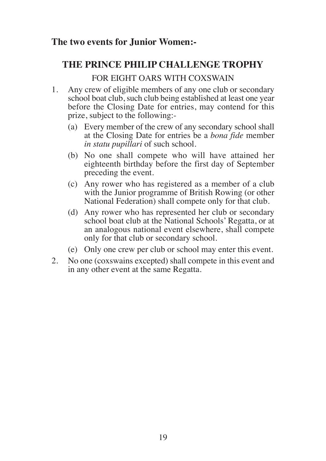# **The two events for Junior Women:-**

# **THE PRINCE PHILIP CHALLENGE TROPHY**

## FOR EIGHT OARS WITH COXSWAIN

- 1. Any crew of eligible members of any one club or secondary school boat club, such club being established at least one year before the Closing Date for entries, may contend for this prize, subject to the following:-
	- (a) Every member of the crew of any secondary school shall at the Closing Date for entries be a *bona fide* member *in statu pupillari* of such school.
	- (b) No one shall compete who will have attained her eighteenth birthday before the first day of September preceding the event.
	- (c) Any rower who has registered as a member of a club with the Junior programme of British Rowing (or other National Federation) shall compete only for that club.
	- (d) Any rower who has represented her club or secondary school boat club at the National Schools' Regatta, or at an analogous national event elsewhere, shall compete only for that club or secondary school.
	- (e) Only one crew per club or school may enter this event.
- 2. No one (coxswains excepted) shall compete in this event and in any other event at the same Regatta.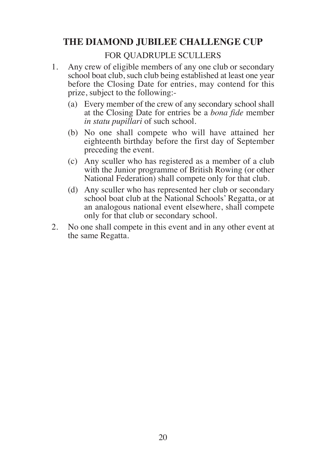# **THE DIAMOND JUBILEE CHALLENGE CUP**

### FOR QUADRUPLE SCULLERS

- 1. Any crew of eligible members of any one club or secondary school boat club, such club being established at least one year before the Closing Date for entries, may contend for this prize, subject to the following:-
	- (a) Every member of the crew of any secondary school shall at the Closing Date for entries be a *bona fide* member *in statu pupillari* of such school.
	- (b) No one shall compete who will have attained her eighteenth birthday before the first day of September preceding the event.
	- (c) Any sculler who has registered as a member of a club with the Junior programme of British Rowing (or other National Federation) shall compete only for that club.
	- (d) Any sculler who has represented her club or secondary school boat club at the National Schools' Regatta, or at an analogous national event elsewhere, shall compete only for that club or secondary school.
- 2. No one shall compete in this event and in any other event at the same Regatta.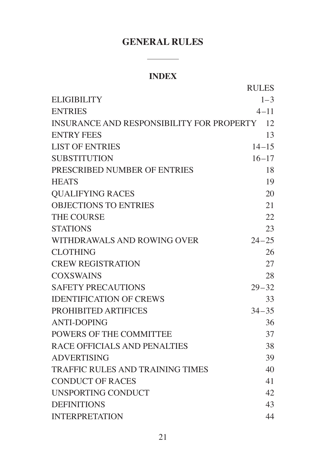# **GENERAL RULES**

# **INDEX**

|                                           | <b>RULES</b> |
|-------------------------------------------|--------------|
| <b>ELIGIBILITY</b>                        | $1 - 3$      |
| <b>ENTRIES</b>                            | $4 - 11$     |
| INSURANCE AND RESPONSIBILITY FOR PROPERTY | 12           |
| <b>ENTRY FEES</b>                         | 13           |
| <b>LIST OF ENTRIES</b>                    | $14 - 15$    |
| <b>SUBSTITUTION</b>                       | $16 - 17$    |
| PRESCRIBED NUMBER OF ENTRIES              | 18           |
| <b>HEATS</b>                              | 19           |
| <b>OUALIFYING RACES</b>                   | 20           |
| <b>OBJECTIONS TO ENTRIES</b>              | 21           |
| <b>THE COURSE</b>                         | 22           |
| <b>STATIONS</b>                           | 23           |
| WITHDRAWALS AND ROWING OVER               | $24 - 25$    |
| <b>CLOTHING</b>                           | 26           |
| <b>CREW REGISTRATION</b>                  | 27           |
| <b>COXSWAINS</b>                          | 28           |
| <b>SAFETY PRECAUTIONS</b>                 | $29 - 32$    |
| <b>IDENTIFICATION OF CREWS</b>            | 33           |
| PROHIBITED ARTIFICES                      | $34 - 35$    |
| <b>ANTI-DOPING</b>                        | 36           |
| POWERS OF THE COMMITTEE                   | 37           |
| RACE OFFICIALS AND PENALTIES              | 38           |
| <b>ADVERTISING</b>                        | 39           |
| <b>TRAFFIC RULES AND TRAINING TIMES</b>   | 40           |
| <b>CONDUCT OF RACES</b>                   | 41           |
| <b>UNSPORTING CONDUCT</b>                 | 42           |
| <b>DEFINITIONS</b>                        | 43           |
| <b>INTERPRETATION</b>                     | 44           |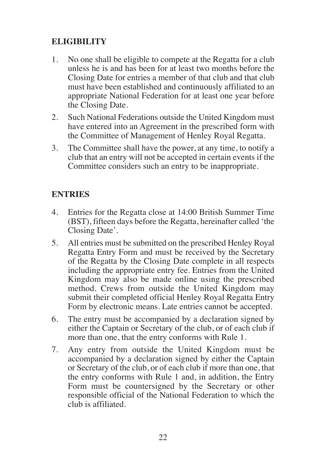# **ELIGIBILITY**

- 1. No one shall be eligible to compete at the Regatta for a club unless he is and has been for at least two months before the Closing Date for entries a member of that club and that club must have been established and continuously affiliated to an appropriate National Federation for at least one year before the Closing Date.
- 2. Such National Federations outside the United Kingdom must have entered into an Agreement in the prescribed form with the Committee of Management of Henley Royal Regatta.
- 3. The Committee shall have the power, at any time, to notify a club that an entry will not be accepted in certain events if the Committee considers such an entry to be inappropriate.

# **ENTRIES**

- 4. Entries for the Regatta close at 14:00 British Summer Time (BST), fifteen days before the Regatta, hereinafter called 'the Closing Date'.
- 5. All entries must be submitted on the prescribed Henley Royal Regatta Entry Form and must be received by the Secretary of the Regatta by the Closing Date complete in all respects including the appropriate entry fee. Entries from the United Kingdom may also be made online using the prescribed method. Crews from outside the United Kingdom may submit their completed official Henley Royal Regatta Entry Form by electronic means. Late entries cannot be accepted.
- 6. The entry must be accompanied by a declaration signed by either the Captain or Secretary of the club, or of each club if more than one, that the entry conforms with Rule 1.
- 7. Any entry from outside the United Kingdom must be accompanied by a declaration signed by either the Captain or Secretary of the club, or of each club if more than one, that the entry conforms with Rule 1 and, in addition, the Entry Form must be countersigned by the Secretary or other responsible official of the National Federation to which the club is affiliated.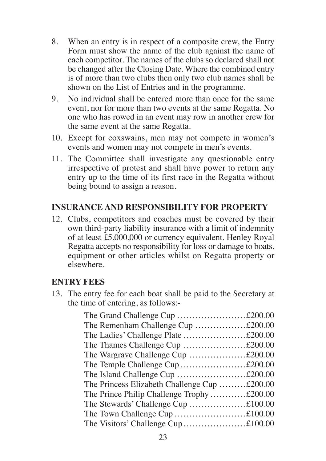- 8. When an entry is in respect of a composite crew, the Entry Form must show the name of the club against the name of each competitor. The names of the clubs so declared shall not be changed after the Closing Date. Where the combined entry is of more than two clubs then only two club names shall be shown on the List of Entries and in the programme.
- 9. No individual shall be entered more than once for the same event, nor for more than two events at the same Regatta. No one who has rowed in an event may row in another crew for the same event at the same Regatta.
- 10. Except for coxswains, men may not compete in women's events and women may not compete in men's events.
- 11. The Committee shall investigate any questionable entry irrespective of protest and shall have power to return any entry up to the time of its first race in the Regatta without being bound to assign a reason.

## **INSURANCE AND RESPONSIBILITY FOR PROPERTY**

12. Clubs, competitors and coaches must be covered by their own third-party liability insurance with a limit of indemnity of at least £5,000,000 or currency equivalent. Henley Royal Regatta accepts no responsibility for loss or damage to boats, equipment or other articles whilst on Regatta property or elsewhere.

## **ENTRY FEES**

13. The entry fee for each boat shall be paid to the Secretary at the time of entering, as follows:-

| The Grand Challenge Cup £200.00              |  |
|----------------------------------------------|--|
| The Remenham Challenge Cup £200.00           |  |
| The Ladies' Challenge Plate £200.00          |  |
| The Thames Challenge Cup £200.00             |  |
|                                              |  |
|                                              |  |
|                                              |  |
| The Princess Elizabeth Challenge Cup £200.00 |  |
| The Prince Philip Challenge Trophy£200.00    |  |
|                                              |  |
|                                              |  |
|                                              |  |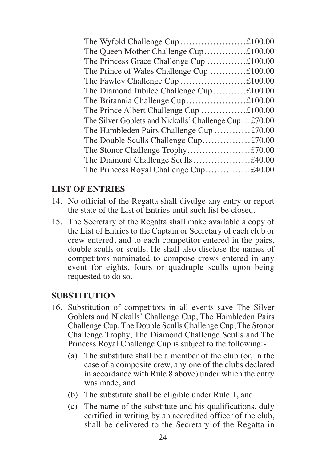| The Queen Mother Challenge Cup£100.00                |  |
|------------------------------------------------------|--|
| The Princess Grace Challenge Cup £100.00             |  |
| The Prince of Wales Challenge Cup £100.00            |  |
|                                                      |  |
| The Diamond Jubilee Challenge Cup £100.00            |  |
|                                                      |  |
| The Prince Albert Challenge Cup £100.00              |  |
| The Silver Goblets and Nickalls' Challenge Cup£70.00 |  |
| The Hambleden Pairs Challenge Cup £70.00             |  |
| The Double Sculls Challenge Cup£70.00                |  |
|                                                      |  |
| The Diamond Challenge Sculls£40.00                   |  |
| The Princess Royal Challenge Cup£40.00               |  |
|                                                      |  |

## **LIST OF ENTRIES**

- 14. No official of the Regatta shall divulge any entry or report the state of the List of Entries until such list be closed.
- 15. The Secretary of the Regatta shall make available a copy of the List of Entries to the Captain or Secretary of each club or crew entered, and to each competitor entered in the pairs, double sculls or sculls. He shall also disclose the names of competitors nominated to compose crews entered in any event for eights, fours or quadruple sculls upon being requested to do so.

#### **SUBSTITUTION**

- 16. Substitution of competitors in all events save The Silver Goblets and Nickalls' Challenge Cup, The Hambleden Pairs Challenge Cup, The Double Sculls Challenge Cup, The Stonor Challenge Trophy, The Diamond Challenge Sculls and The Princess Royal Challenge Cup is subject to the following:-
	- (a) The substitute shall be a member of the club (or, in the case of a composite crew, any one of the clubs declared in accordance with Rule 8 above) under which the entry was made, and
	- (b) The substitute shall be eligible under Rule 1, and
	- (c) The name of the substitute and his qualifications, duly certified in writing by an accredited officer of the club, shall be delivered to the Secretary of the Regatta in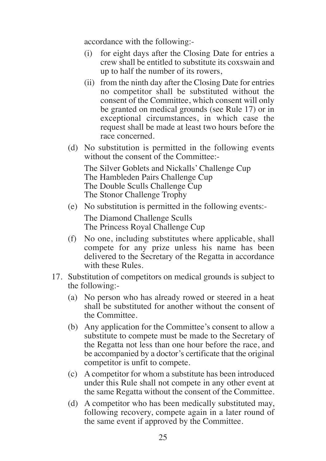accordance with the following:-

- (i) for eight days after the Closing Date for entries a crew shall be entitled to substitute its coxswain and up to half the number of its rowers,
- (ii) from the ninth day after the Closing Date for entries no competitor shall be substituted without the consent of the Committee, which consent will only be granted on medical grounds (see Rule 17) or in exceptional circumstances, in which case the request shall be made at least two hours before the race concerned.
- (d) No substitution is permitted in the following events without the consent of the Committee:-

The Silver Goblets and Nickalls' Challenge Cup The Hambleden Pairs Challenge Cup The Double Sculls Challenge Cup The Stonor Challenge Trophy

(e) No substitution is permitted in the following events:-

The Diamond Challenge Sculls The Princess Royal Challenge Cup

- (f) No one, including substitutes where applicable, shall compete for any prize unless his name has been delivered to the Secretary of the Regatta in accordance with these Rules.
- 17. Substitution of competitors on medical grounds is subject to the following:-
	- (a) No person who has already rowed or steered in a heat shall be substituted for another without the consent of the Committee.
	- (b) Any application for the Committee's consent to allow a substitute to compete must be made to the Secretary of the Regatta not less than one hour before the race, and be accompanied by a doctor's certificate that the original competitor is unfit to compete.
	- (c) A competitor for whom a substitute has been introduced under this Rule shall not compete in any other event at the same Regatta without the consent of the Committee.
	- (d) A competitor who has been medically substituted may, following recovery, compete again in a later round of the same event if approved by the Committee.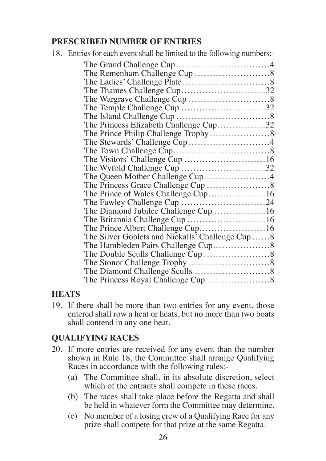## **PRESCRIBED NUMBER OF ENTRIES**

| 18. Entries for each event shall be limited to the following numbers:- |  |
|------------------------------------------------------------------------|--|
|                                                                        |  |
|                                                                        |  |
|                                                                        |  |
| The Thames Challenge Cup32                                             |  |
|                                                                        |  |
| The Temple Challenge Cup 32                                            |  |
|                                                                        |  |
| The Princess Elizabeth Challenge Cup32                                 |  |
| The Prince Philip Challenge Trophy8                                    |  |
| The Stewards' Challenge Cup 4                                          |  |
|                                                                        |  |
|                                                                        |  |
|                                                                        |  |
| The Queen Mother Challenge Cup4                                        |  |
|                                                                        |  |
| The Prince of Wales Challenge Cup16                                    |  |
| The Fawley Challenge Cup 24                                            |  |
| The Diamond Jubilee Challenge Cup 16                                   |  |
| The Britannia Challenge Cup 16                                         |  |
| The Prince Albert Challenge Cup16                                      |  |
| The Silver Goblets and Nickalls <sup>7</sup> Challenge Cup 8           |  |
|                                                                        |  |
|                                                                        |  |
|                                                                        |  |
|                                                                        |  |
|                                                                        |  |
|                                                                        |  |

## **HEATS**

19. If there shall be more than two entries for any event, those entered shall row a heat or heats, but no more than two boats shall contend in any one heat.

# **QUALIFYING RACES**

- 20. If more entries are received for any event than the number shown in Rule 18, the Committee shall arrange Qualifying Races in accordance with the following rules:-
	- (a) The Committee shall, in its absolute discretion, select which of the entrants shall compete in these races.
	- (b) The races shall take place before the Regatta and shall be held in whatever form the Committee may determine.
	- (c) No member of a losing crew of a Qualifying Race for any prize shall compete for that prize at the same Regatta.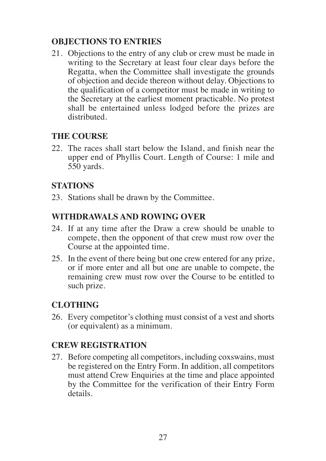# **OBJECTIONS TO ENTRIES**

21. Objections to the entry of any club or crew must be made in writing to the Secretary at least four clear days before the Regatta, when the Committee shall investigate the grounds of objection and decide thereon without delay. Objections to the qualification of a competitor must be made in writing to the Secretary at the earliest moment practicable. No protest shall be entertained unless lodged before the prizes are distributed.

## **THE COURSE**

22. The races shall start below the Island, and finish near the upper end of Phyllis Court. Length of Course: 1 mile and 550 yards.

## **STATIONS**

23. Stations shall be drawn by the Committee.

## **WITHDRAWALS AND ROWING OVER**

- 24. If at any time after the Draw a crew should be unable to compete, then the opponent of that crew must row over the Course at the appointed time.
- 25. In the event of there being but one crew entered for any prize, or if more enter and all but one are unable to compete, the remaining crew must row over the Course to be entitled to such prize.

## **CLOTHING**

26. Every competitor's clothing must consist of a vest and shorts (or equivalent) as a minimum.

## **CREW REGISTRATION**

27. Before competing all competitors, including coxswains, must be registered on the Entry Form. In addition, all competitors must attend Crew Enquiries at the time and place appointed by the Committee for the verification of their Entry Form details.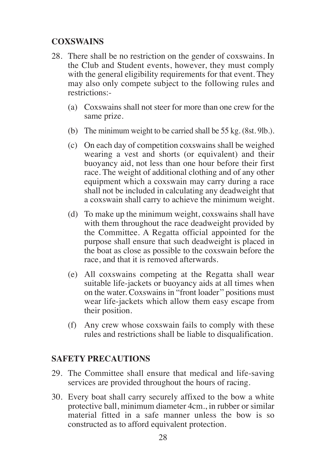# **COXSWAINS**

- 28. There shall be no restriction on the gender of coxswains. In the Club and Student events, however, they must comply with the general eligibility requirements for that event. They may also only compete subject to the following rules and restrictions:-
	- (a) Coxswains shall not steer for more than one crew for the same prize.
	- (b) The minimum weight to be carried shall be 55 kg. (8st. 9lb.).
	- (c) On each day of competition coxswains shall be weighed wearing a vest and shorts (or equivalent) and their buoyancy aid, not less than one hour before their first race. The weight of additional clothing and of any other equipment which a coxswain may carry during a race shall not be included in calculating any deadweight that a coxswain shall carry to achieve the minimum weight.
	- (d) To make up the minimum weight, coxswains shall have with them throughout the race deadweight provided by the Committee. A Regatta official appointed for the purpose shall ensure that such deadweight is placed in the boat as close as possible to the coxswain before the race, and that it is removed afterwards.
	- (e) All coxswains competing at the Regatta shall wear suitable life-jackets or buoyancy aids at all times when on the water. Coxswains in "front loader'' positions must wear life-jackets which allow them easy escape from their position.
	- (f) Any crew whose coxswain fails to comply with these rules and restrictions shall be liable to disqualification.

#### **SAFETY PRECAUTIONS**

- 29. The Committee shall ensure that medical and life-saving services are provided throughout the hours of racing.
- 30. Every boat shall carry securely affixed to the bow a white protective ball, minimum diameter 4cm., in rubber or similar material fitted in a safe manner unless the bow is so constructed as to afford equivalent protection.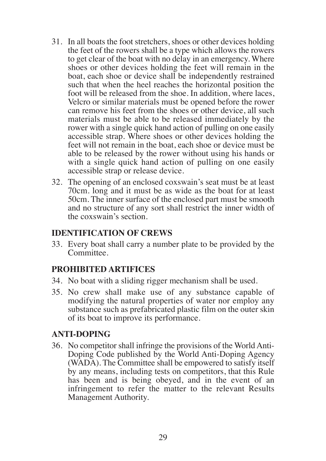- 31. In all boats the foot stretchers, shoes or other devices holding the feet of the rowers shall be a type which allows the rowers to get clear of the boat with no delay in an emergency. Where shoes or other devices holding the feet will remain in the boat, each shoe or device shall be independently restrained such that when the heel reaches the horizontal position the foot will be released from the shoe. In addition, where laces, Velcro or similar materials must be opened before the rower can remove his feet from the shoes or other device, all such materials must be able to be released immediately by the rower with a single quick hand action of pulling on one easily accessible strap. Where shoes or other devices holding the feet will not remain in the boat, each shoe or device must be able to be released by the rower without using his hands or with a single quick hand action of pulling on one easily accessible strap or release device.
- 32. The opening of an enclosed coxswain's seat must be at least 70cm. long and it must be as wide as the boat for at least 50cm. The inner surface of the enclosed part must be smooth and no structure of any sort shall restrict the inner width of the coxswain's section.

#### **IDENTIFICATION OF CREWS**

33. Every boat shall carry a number plate to be provided by the Committee.

## **PROHIBITED ARTIFICES**

- 34. No boat with a sliding rigger mechanism shall be used.
- 35. No crew shall make use of any substance capable of modifying the natural properties of water nor employ any substance such as prefabricated plastic film on the outer skin of its boat to improve its performance.

## **ANTI-DOPING**

36. No competitor shall infringe the provisions of the World Anti - Doping Code published by the World Anti-Doping Agency (WADA). The Committee shall be empowered to satisfy itself by any means, including tests on competitors, that this Rule has been and is being obeyed, and in the event of an infringement to refer the matter to the relevant Results Management Authority.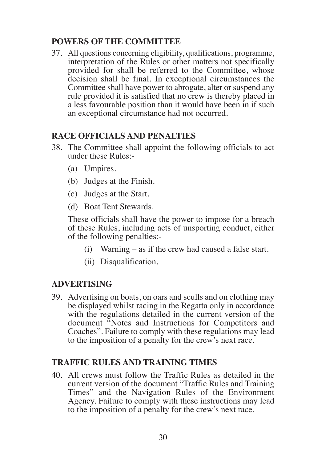## **POWERS OF THE COMMITTEE**

37. All questions concerning eligibility, qualifications, programme, interpretation of the Rules or other matters not specifically provided for shall be referred to the Committee, whose decision shall be final. In exceptional circumstances the Committee shall have power to abrogate, alter or suspend any rule provided it is satisfied that no crew is thereby placed in a less favourable position than it would have been in if such an exceptional circumstance had not occurred.

## **RACE OFFICIALS AND PENALTIES**

- 38. The Committee shall appoint the following officials to act under these Rules:-
	- (a) Umpires.
	- (b) Judges at the Finish.
	- (c) Judges at the Start.
	- (d) Boat Tent Stewards.

These officials shall have the power to impose for a breach of these Rules, including acts of unsporting conduct, either of the following penalties:-

- (i) Warning as if the crew had caused a false start.
- (ii) Disqualification.

## **ADVERTISING**

39. Advertising on boats, on oars and sculls and on clothing may be displayed whilst racing in the Regatta only in accordance with the regulations detailed in the current version of the document "Notes and Instructions for Competitors and Coaches". Failure to comply with these regulations may lead to the imposition of a penalty for the crew's next race.

#### **TRAFFIC RULES AND TRAINING TIMES**

40. All crews must follow the Traffic Rules as detailed in the current version of the document "Traffic Rules and Training Times" and the Navigation Rules of the Environment Agency. Failure to comply with these instructions may lead to the imposition of a penalty for the crew's next race.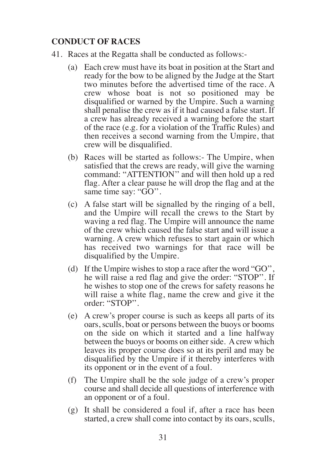## **CONDUCT OF RACES**

- 41. Races at the Regatta shall be conducted as follows:-
	- (a) Each crew must have its boat in position at the Start and ready for the bow to be aligned by the Judge at the Start two minutes before the advertised time of the race. A crew whose boat is not so positioned may be disqualified or warned by the Umpire. Such a warning shall penalise the crew as if it had caused a false start. If a crew has already received a warning before the start of the race (e.g. for a violation of the Traffic Rules) and then receives a second warning from the Umpire, that crew will be disqualified.
	- (b) Races will be started as follows:- The Umpire, when satisfied that the crews are ready, will give the warning command: "ATTENTION'' and will then hold up a red flag. After a clear pause he will drop the flag and at the same time say: "GO".
	- (c) A false start will be signalled by the ringing of a bell, and the Umpire will recall the crews to the Start by waving a red flag. The Umpire will announce the name of the crew which caused the false start and will issue a warning. A crew which refuses to start again or which has received two warnings for that race will be disqualified by the Umpire.
	- (d) If the Umpire wishes to stop a race after the word "GO'', he will raise a red flag and give the order: "STOP''. If he wishes to stop one of the crews for safety reasons he will raise a white flag, name the crew and give it the order: "STOP''.
	- (e) A crew's proper course is such as keeps all parts of its oars, sculls, boat or persons between the buoys or booms on the side on which it started and a line halfway between the buoys or booms on either side. A crew which leaves its proper course does so at its peril and may be disqualified by the Umpire if it thereby interferes with its opponent or in the event of a foul.
	- (f) The Umpire shall be the sole judge of a crew's proper course and shall decide all questions of interference with an opponent or of a foul.
	- (g) It shall be considered a foul if, after a race has been started, a crew shall come into contact by its oars, sculls,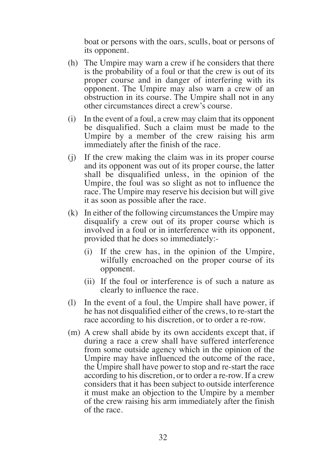boat or persons with the oars, sculls, boat or persons of its opponent.

- (h) The Umpire may warn a crew if he considers that there is the probability of a foul or that the crew is out of its proper course and in danger of interfering with its opponent. The Umpire may also warn a crew of an obstruction in its course. The Umpire shall not in any other circumstances direct a crew's course.
- (i) In the event of a foul, a crew may claim that its opponent be disqualified. Such a claim must be made to the Umpire by a member of the crew raising his arm immediately after the finish of the race.
- (j) If the crew making the claim was in its proper course and its opponent was out of its proper course, the latter shall be disqualified unless, in the opinion of the Umpire, the foul was so slight as not to influence the race. The Umpire may reserve his decision but will give it as soon as possible after the race.
- (k) In either of the following circumstances the Umpire may disqualify a crew out of its proper course which is involved in a foul or in interference with its opponent, provided that he does so immediately:-
	- (i) If the crew has, in the opinion of the Umpire, wilfully encroached on the proper course of its opponent.
	- (ii) If the foul or interference is of such a nature as clearly to influence the race.
- (l) In the event of a foul, the Umpire shall have power, if he has not disqualified either of the crews, to re-start the race according to his discretion, or to order a re-row.
- (m) A crew shall abide by its own accidents except that, if during a race a crew shall have suffered interference from some outside agency which in the opinion of the Umpire may have influenced the outcome of the race, the Umpire shall have power to stop and re-start the race according to his discretion, or to order a re-row. If a crew considers that it has been subject to outside interference it must make an objection to the Umpire by a member of the crew raising his arm immediately after the finish of the race.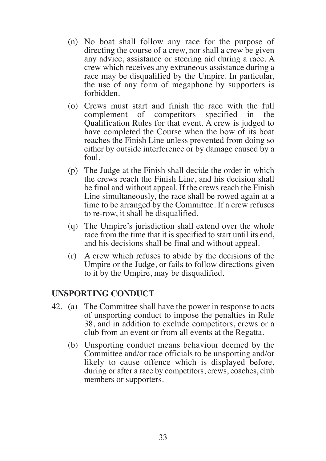- (n) No boat shall follow any race for the purpose of directing the course of a crew, nor shall a crew be given any advice, assistance or steering aid during a race. A crew which receives any extraneous assistance during a race may be disqualified by the Umpire. In particular, the use of any form of megaphone by supporters is forbidden.
- (o) Crews must start and finish the race with the full complement of competitors specified in the Qualification Rules for that event. A crew is judged to have completed the Course when the bow of its boat reaches the Finish Line unless prevented from doing so either by outside interference or by damage caused by a foul.
- (p) The Judge at the Finish shall decide the order in which the crews reach the Finish Line, and his decision shall be final and without appeal. If the crews reach the Finish Line simultaneously, the race shall be rowed again at a time to be arranged by the Committee. If a crew refuses to re-row, it shall be disqualified.
- (q) The Umpire's jurisdiction shall extend over the whole race from the time that it is specified to start until its end, and his decisions shall be final and without appeal.
- (r) A crew which refuses to abide by the decisions of the Umpire or the Judge, or fails to follow directions given to it by the Umpire, may be disqualified.

#### **UNSPORTING CONDUCT**

- 42. (a) The Committee shall have the power in response to acts of unsporting conduct to impose the penalties in Rule 38, and in addition to exclude competitors, crews or a club from an event or from all events at the Regatta.
	- (b) Unsporting conduct means behaviour deemed by the Committee and/or race officials to be unsporting and/or likely to cause offence which is displayed before, during or after a race by competitors, crews, coaches, club members or supporters.